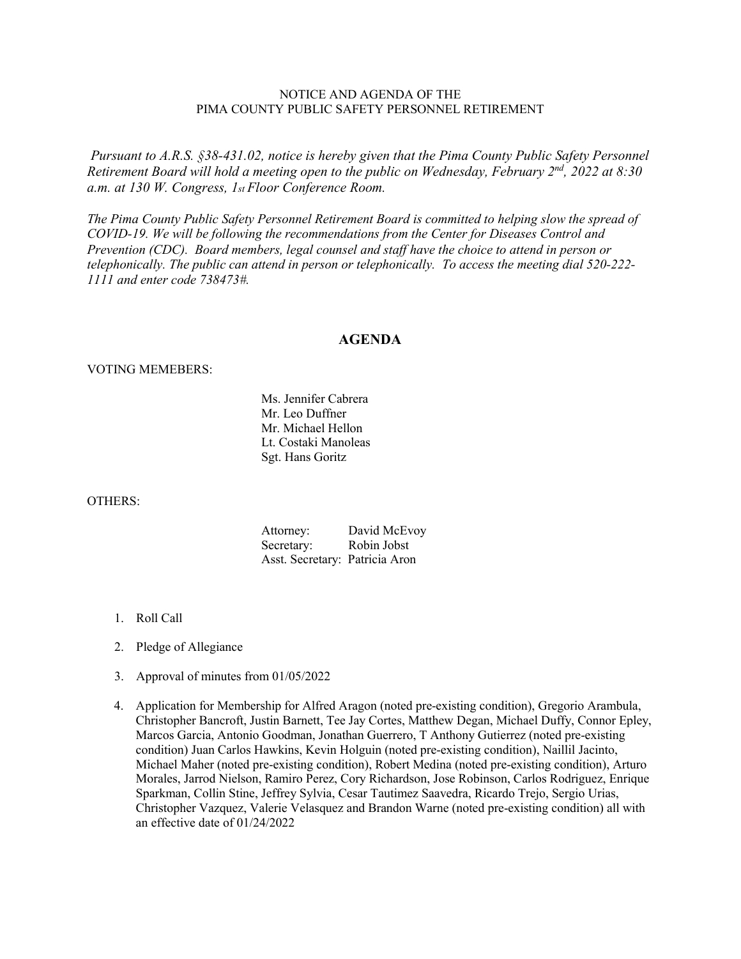## NOTICE AND AGENDA OF THE PIMA COUNTY PUBLIC SAFETY PERSONNEL RETIREMENT

*Pursuant to A.R.S. §38-431.02, notice is hereby given that the Pima County Public Safety Personnel Retirement Board will hold a meeting open to the public on Wednesday, February 2nd, 2022 at 8:30 a.m. at 130 W. Congress, 1st Floor Conference Room.*

*The Pima County Public Safety Personnel Retirement Board is committed to helping slow the spread of COVID-19. We will be following the recommendations from the Center for Diseases Control and Prevention (CDC). Board members, legal counsel and staff have the choice to attend in person or telephonically. The public can attend in person or telephonically. To access the meeting dial 520-222- 1111 and enter code 738473#.*

## **AGENDA**

## VOTING MEMEBERS:

Ms. Jennifer Cabrera Mr. Leo Duffner Mr. Michael Hellon Lt. Costaki Manoleas Sgt. Hans Goritz

## OTHERS:

| Attorney:                      | David McEvoy |
|--------------------------------|--------------|
| Secretary:                     | Robin Jobst  |
| Asst. Secretary: Patricia Aron |              |

- 1. Roll Call
- 2. Pledge of Allegiance
- 3. Approval of minutes from 01/05/2022
- 4. Application for Membership for Alfred Aragon (noted pre-existing condition), Gregorio Arambula, Christopher Bancroft, Justin Barnett, Tee Jay Cortes, Matthew Degan, Michael Duffy, Connor Epley, Marcos Garcia, Antonio Goodman, Jonathan Guerrero, T Anthony Gutierrez (noted pre-existing condition) Juan Carlos Hawkins, Kevin Holguin (noted pre-existing condition), Naillil Jacinto, Michael Maher (noted pre-existing condition), Robert Medina (noted pre-existing condition), Arturo Morales, Jarrod Nielson, Ramiro Perez, Cory Richardson, Jose Robinson, Carlos Rodriguez, Enrique Sparkman, Collin Stine, Jeffrey Sylvia, Cesar Tautimez Saavedra, Ricardo Trejo, Sergio Urias, Christopher Vazquez, Valerie Velasquez and Brandon Warne (noted pre-existing condition) all with an effective date of 01/24/2022